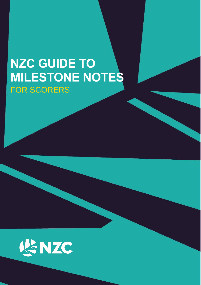# **NZC GUIDE TO MILESTONE NOTES** FOR SCORERS

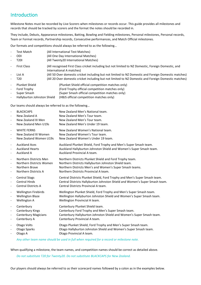## Introduction

Milestone Notes must be recorded by Live Scorers when milestones or records occur. This guide provides all milestones and records that should be tracked by scorers and the format the notes should be recorded in.

They include, Debuts, Appearance milestones, Batting, Bowling and Fielding milestones, Personal milestones, Personal records, Team or Format records, Partnership records, Consecutive performances, and Match Official milestones.

Our formats and competitions should always be referred to as the following…

- Test Match (All International Test Matches)
- ODI (All One Day International Matches)
- T20I (All Twenty20 International Matches)
- First Class (All recognised First Class cricket including but not limited to NZ Domestic, Foreign Domestic, and International A matches) List A (All 50 Over domestic cricket including but not limited to NZ Domestic and Foreign Domestic matches)
- T20 (All 20 Over domestic cricket including but not limited to NZ Domestic and Foreign Domestic matches)

| - Plunket Shield              | (Plunket Shield official competition matches only) |
|-------------------------------|----------------------------------------------------|
| - Ford Trophy                 | (Ford Trophy official competition matches only)    |
| - Super Smash                 | (Super Smash official competition matches only)    |
| - Hallyburton Johnston Shield | (HBJS official competition matches only)           |

Our teams should always be referred to as the following…

| $\overline{\phantom{a}}$     | <b>BLACKCAPS</b>            | New Zealand Men's National team.                                            |
|------------------------------|-----------------------------|-----------------------------------------------------------------------------|
| $\overline{\phantom{a}}$     | New Zealand A               | New Zealand Men's Tour team.                                                |
| $\frac{1}{2}$                | New Zealand XI Men          | New Zealand Men's Tour team.                                                |
| $\overline{\phantom{a}}$     | New Zealand Men U19s        | New Zealand Men's Under 19 team.                                            |
| $\frac{1}{2}$                | <b>WHITE FERNS</b>          | New Zealand Women's National team.                                          |
| $\overline{\phantom{a}}$     | New Zealand XI Women        | New Zealand Women's Tour team.                                              |
| $\frac{1}{2}$                | New Zealand Women U19s      | New Zealand Women's Under 19 team.                                          |
| $\overline{\phantom{a}}$     | <b>Auckland Aces</b>        | Auckland Plunket Shield, Ford Trophy and Men's Super Smash team.            |
| $\qquad \qquad \blacksquare$ | <b>Auckland Hearts</b>      | Auckland Hallyburton Johnston Shield and Women's Super Smash team.          |
| $\qquad \qquad \blacksquare$ | Auckland A                  | Auckland Provincial A team.                                                 |
| $\frac{1}{2}$                | Northern Districts Men      | Northern Districts Plunket Shield and Ford Trophy team.                     |
| $\overline{\phantom{a}}$     | Northern Districts Women    | Northern Districts Hallyburton Johnston Shield team.                        |
| $\overline{\phantom{a}}$     | Northern Brave              | Northern Districts Men's and Women's Super Smash teams.                     |
| $\qquad \qquad \blacksquare$ | Northern Districts A        | Northern Districts Provincial A team.                                       |
| $\overline{\phantom{a}}$     | <b>Central Stags</b>        | Central Districts Plunket Shield, Ford Trophy and Men's Super Smash team.   |
| $\overline{\phantom{a}}$     | <b>Central Hinds</b>        | Central Districts Hallyburton Johnston Shield and Women's Super Smash team. |
| $\overline{\phantom{a}}$     | <b>Central Districts A</b>  | Central Districts Provincial A team.                                        |
| $\qquad \qquad \blacksquare$ | <b>Wellington Firebirds</b> | Wellington Plunket Shield, Ford Trophy and Men's Super Smash team.          |
| $\overline{\phantom{a}}$     | <b>Wellington Blaze</b>     | Wellington Hallyburton Johnston Shield and Women's Super Smash team.        |
| $\qquad \qquad \blacksquare$ | <b>Wellington A</b>         | Wellington Provincial A team.                                               |
| $\overline{\phantom{a}}$     | Canterbury                  | Canterbury Plunket Shield team.                                             |
| $\qquad \qquad \blacksquare$ | Canterbury Kings            | Canterbury Ford Trophy and Men's Super Smash team.                          |
| $\qquad \qquad \blacksquare$ | <b>Canterbury Magicians</b> | Canterbury Hallyburton Johnston Shield and Women's Super Smash team.        |
| $\overline{\phantom{a}}$     | Canterbury A                | Canterbury Provincial A team.                                               |
| $\overline{\phantom{a}}$     | Otago Volts                 | Otago Plunket Shield, Ford Trophy and Men's Super Smash team.               |
| $\overline{\phantom{0}}$     | Otago Sparks                | Otago Hallyburton Johnston Shield and Women's Super Smash team.             |
| $\overline{\phantom{0}}$     | Otago A                     | Otago Provincial A team.                                                    |

#### *Any other team name should be used in full when required for a record or milestone note.*

When qualifying a milestone, the team names, and competition names should be correct as detailed above.

*Do not substitute T20 for Twenty20. Do not substitute BLACKCAPS for New Zealand.* 

Our players should always be referred to as their scorecard names followed by a colon as in the examples below.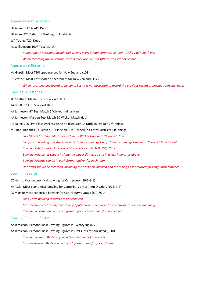#### Appearance Milestones:

FH Allen: BLACKCAPS Debut

FH Allen: T20 Debut for Wellington Firebirds

WA Young: T20I Debut

KS Williamson: 100th Test Match

*Appearance Milestones include Debut, and every 50 appearances i.e., 50th, 100th, 150th, 200th etc. When recording any milestone scorers must use 50th not fiftieth, and 2 nd not second.* 

#### Appearance Records:

MJ Guptill: Most T20I appearances for New Zealand (103)

#### DL Vettori: Most Test Match appearances for New Zealand (112)

*When recording any record or personal best it is not necessary to record the previous record or previous personal best.*

#### Bowling Milestones:

TG Southee: Maiden T20I 5 Wicket Haul

TA Boult: 5 th ODI 5 Wicket Haul

KA Jamieson: 4th Test Match 5 Wicket Innings Haul

KA Jamieson: Maiden Test Match 10 Wicket Match Haul

JD Baker: 200 First Class Wickets when he dismissed JA Duffy in Otago's 2<sup>nd</sup> Innings

MD Rae: Hat-trick (D Cleaver, JA Clarkson, BM Tickner) in Central Districts 1st innings

*Short-Form bowling milestones include: 5 Wicket Haul and 10 Wicket Haul. Long-Form bowling milestones include: 5 Wicket Innings Haul, 10 Wicket Innings Haul and 10 Wicket Match Haul. Bowling Milestones include every 50 wickets i.e., 50, 100, 150, 200 etc. Bowling Milestones should include the player dismissed and in which innings as above. Bowling Records can be in each format and/or for each team. Hat-tricks should be recorded, including the batsmen involved and the innings if it occurred for Long-Form matches.*

#### Bowling Records:

CZ Harris: Most economical bowling for Canterbury (10-5-8-1)

NJ Astle: Most economical bowling for Canterbury v Northern Districts (10-5-9-2)

CS Martin: Most expensive bowling for Canterbury v Otago (8-0-75-0)

*Long-Form bowling records are not required.*

*Most economical bowling record only applies when the player bowls maximum overs in an innings.*

*Bowling Records can be in each format, for each team and/or vs each team.*

#### Bowling Personal Bests:

KA Jamieson: Personal Best Bowling Figures in Twenty20s (6-7)

KA Jamieson: Personal Best Bowling Figures in First Class for Auckland (3-18)

*Bowling Personal Bests only include a minimum of 3 Wickets. Batting Personal Bests can be in each formant and/or for each team.*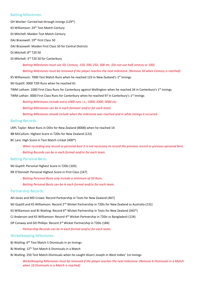#### Batting Milestones:

GH Worker: Carried bat through innings (129\*)

KS Williamson: 24th Test Match Century

DJ Mitchell: Maiden Test Match Century

DAJ Bracewell: 19<sup>th</sup> First Class 50

DAJ Bracewell: Maiden First Class 50 for Central Districts

DJ Mitchell: 8th T20 50

DJ Mitchell: 3rd T20 50 for Canterbury

*Batting Milestones must use 50, Century, 150, 200, 250, 300 etc. (Do not use half century or 100) Batting Milestones must be removed if the player reaches the next milestone. (Remove 50 when Century is reached)*

KS Williamson: 7000 Test Match Runs when he reached 123 in New Zealand's 1<sup>st</sup> Innings

MJ Guptill: 3000 T20I Runs when he reached 61

TWM Latham: 1000 First Class Runs for Canterbury against Wellington when he reached 34 in Canterbury's 1<sup>st</sup> Innings

TWM Lathan: 3000 First Class Runs for Canterbury when he reached 97 in Canterbury's 1<sup>st</sup> Innings

*Batting Milestones include every 1000 runs i.e., 1000, 2000, 3000 etc.*

*Batting Milestones can be in each formant and/or for each team.*

*Batting Milestones should include when the milestone was reached and in what innings it occurred.*

#### Batting Records:

LRPL Taylor: Most Runs in ODIs for New Zealand (8008) when he reached 14

BB McCullum: Highest Score in T20Is for New Zealand (123)

BC Lara: High Score in Test Match cricket (400\*)

*When recording any record or personal best it is not necessary to record the previous record or previous personal best.*

*Batting Records can be in each format and/or for each team.*

#### Batting Personal Bests:

MJ Guptill: Personal Highest Score in T20Is (105)

RR O'Donnell: Personal Highest Score in First Class (167)

*Batting Personal Bests only include a minimum of 50 Runs.*

*Batting Personal Bests can be in each format and/or for each team.*

#### Partnership Records:

AH Jones and MD Crowe: Record Partnership in Tests for New Zealand (467)

MJ Guptill and KS Williamson: Record 2<sup>nd</sup> Wicket Partnership in T20Is for New Zealand vs Australia (131)

KS Williamson and BJ Watling: Record  $6<sup>th</sup>$  Wicket Partnership in Tests for New Zealand (365\*)

CJ Anderson and KS Williamson: Record 4<sup>th</sup> Wicket Partnership in T20Is vs Bangladesh (124)

DP Conway and GD Phillips: Record 3<sup>rd</sup> Wicket Partnership in T20Is (184)

*Partnership Records can be in each format and/or for each team.*

#### Wicketkeeping Milestones:

BJ Watling: 6<sup>th</sup> Test Match 5 Dismissals in an Innings

BJ Watling: 12<sup>th</sup> Test Match 6 Dismissals in a Match

BJ Watling: 250 Test Match Dismissals when he caught Alzarri Joseph in West Indies' 1st Innings

*Wicketkeeping Milestones must be removed if the player reaches the next milestone. (Remove 6 Dismissals in a Match when 10 Dismissals in a Match is reached)*